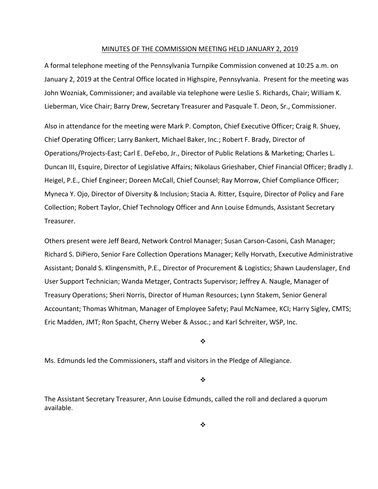#### MINUTES OF THE COMMISSION MEETING HELD JANUARY 2, 2019

A formal telephone meeting of the Pennsylvania Turnpike Commission convened at 10:25 a.m. on January 2, 2019 at the Central Office located in Highspire, Pennsylvania. Present for the meeting was John Wozniak, Commissioner; and available via telephone were Leslie S. Richards, Chair; William K. Lieberman, Vice Chair; Barry Drew, Secretary Treasurer and Pasquale T. Deon, Sr., Commissioner.

Also in attendance for the meeting were Mark P. Compton, Chief Executive Officer; Craig R. Shuey, Chief Operating Officer; Larry Bankert, Michael Baker, Inc.; Robert F. Brady, Director of Operations/Projects‐East; Carl E. DeFebo, Jr., Director of Public Relations & Marketing; Charles L. Duncan III, Esquire, Director of Legislative Affairs; Nikolaus Grieshaber, Chief Financial Officer; Bradly J. Heigel, P.E., Chief Engineer; Doreen McCall, Chief Counsel; Ray Morrow, Chief Compliance Officer; Myneca Y. Ojo, Director of Diversity & Inclusion; Stacia A. Ritter, Esquire, Director of Policy and Fare Collection; Robert Taylor, Chief Technology Officer and Ann Louise Edmunds, Assistant Secretary Treasurer.

Others present were Jeff Beard, Network Control Manager; Susan Carson‐Casoni, Cash Manager; Richard S. DiPiero, Senior Fare Collection Operations Manager; Kelly Horvath, Executive Administrative Assistant; Donald S. Klingensmith, P.E., Director of Procurement & Logistics; Shawn Laudenslager, End User Support Technician; Wanda Metzger, Contracts Supervisor; Jeffrey A. Naugle, Manager of Treasury Operations; Sheri Norris, Director of Human Resources; Lynn Stakem, Senior General Accountant; Thomas Whitman, Manager of Employee Safety; Paul McNamee, KCI; Harry Sigley, CMTS; Eric Madden, JMT; Ron Spacht, Cherry Weber & Assoc.; and Karl Schreiter, WSP, Inc.

❖

Ms. Edmunds led the Commissioners, staff and visitors in the Pledge of Allegiance.

❖

The Assistant Secretary Treasurer, Ann Louise Edmunds, called the roll and declared a quorum available.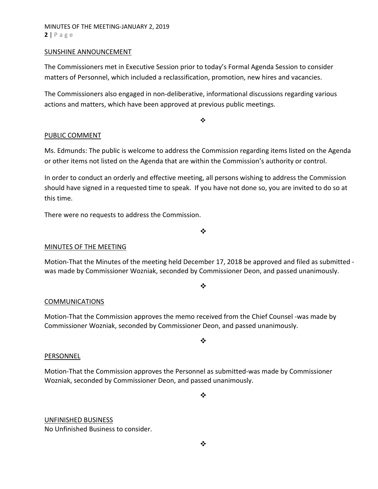# MINUTES OF THE MEETING‐JANUARY 2, 2019 **2** | Page

#### SUNSHINE ANNOUNCEMENT

The Commissioners met in Executive Session prior to today's Formal Agenda Session to consider matters of Personnel, which included a reclassification, promotion, new hires and vacancies.

The Commissioners also engaged in non‐deliberative, informational discussions regarding various actions and matters, which have been approved at previous public meetings.

 $\bullet^{\bullet}_{\bullet} \bullet$ 

# PUBLIC COMMENT

Ms. Edmunds: The public is welcome to address the Commission regarding items listed on the Agenda or other items not listed on the Agenda that are within the Commission's authority or control.

In order to conduct an orderly and effective meeting, all persons wishing to address the Commission should have signed in a requested time to speak. If you have not done so, you are invited to do so at this time.

There were no requests to address the Commission.

# MINUTES OF THE MEETING

Motion-That the Minutes of the meeting held December 17, 2018 be approved and filed as submitted was made by Commissioner Wozniak, seconded by Commissioner Deon, and passed unanimously.

#### $\frac{1}{2}$

#### COMMUNICATIONS

Motion‐That the Commission approves the memo received from the Chief Counsel ‐was made by Commissioner Wozniak, seconded by Commissioner Deon, and passed unanimously.

#### ❖

#### PERSONNEL

Motion‐That the Commission approves the Personnel as submitted‐was made by Commissioner Wozniak, seconded by Commissioner Deon, and passed unanimously.

❖

#### UNFINISHED BUSINESS No Unfinished Business to consider.

 $\bullet \bullet$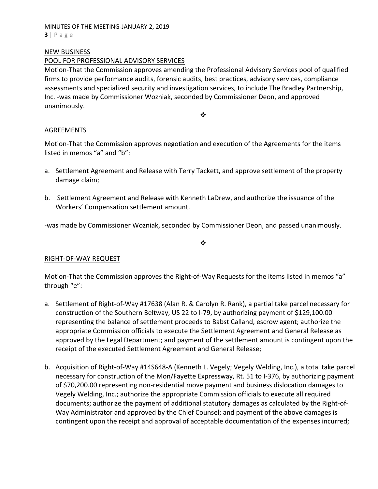#### MINUTES OF THE MEETING‐JANUARY 2, 2019 **3** | Page

### NEW BUSINESS

# POOL FOR PROFESSIONAL ADVISORY SERVICES

Motion‐That the Commission approves amending the Professional Advisory Services pool of qualified firms to provide performance audits, forensic audits, best practices, advisory services, compliance assessments and specialized security and investigation services, to include The Bradley Partnership, Inc. -was made by Commissioner Wozniak, seconded by Commissioner Deon, and approved unanimously.

❖

# AGREEMENTS

Motion‐That the Commission approves negotiation and execution of the Agreements for the items listed in memos "a" and "b":

- a. Settlement Agreement and Release with Terry Tackett, and approve settlement of the property damage claim;
- b. Settlement Agreement and Release with Kenneth LaDrew, and authorize the issuance of the Workers' Compensation settlement amount.

‐was made by Commissioner Wozniak, seconded by Commissioner Deon, and passed unanimously.

❖

# RIGHT‐OF‐WAY REQUEST

Motion-That the Commission approves the Right-of-Way Requests for the items listed in memos "a" through "e":

- a. Settlement of Right‐of‐Way #17638 (Alan R. & Carolyn R. Rank), a partial take parcel necessary for construction of the Southern Beltway, US 22 to I‐79, by authorizing payment of \$129,100.00 representing the balance of settlement proceeds to Babst Calland, escrow agent; authorize the appropriate Commission officials to execute the Settlement Agreement and General Release as approved by the Legal Department; and payment of the settlement amount is contingent upon the receipt of the executed Settlement Agreement and General Release;
- b. Acquisition of Right‐of‐Way #14S648‐A (Kenneth L. Vegely; Vegely Welding, Inc.), a total take parcel necessary for construction of the Mon/Fayette Expressway, Rt. 51 to I‐376, by authorizing payment of \$70,200.00 representing non‐residential move payment and business dislocation damages to Vegely Welding, Inc.; authorize the appropriate Commission officials to execute all required documents; authorize the payment of additional statutory damages as calculated by the Right‐of‐ Way Administrator and approved by the Chief Counsel; and payment of the above damages is contingent upon the receipt and approval of acceptable documentation of the expenses incurred;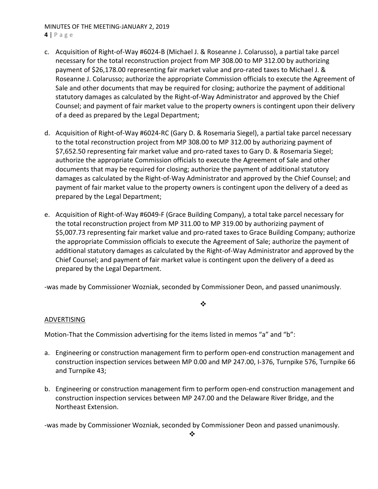# MINUTES OF THE MEETING‐JANUARY 2, 2019

**4** | Page

- c. Acquisition of Right‐of‐Way #6024‐B (Michael J. & Roseanne J. Colarusso), a partial take parcel necessary for the total reconstruction project from MP 308.00 to MP 312.00 by authorizing payment of \$26,178.00 representing fair market value and pro-rated taxes to Michael J. & Roseanne J. Colarusso; authorize the appropriate Commission officials to execute the Agreement of Sale and other documents that may be required for closing; authorize the payment of additional statutory damages as calculated by the Right‐of‐Way Administrator and approved by the Chief Counsel; and payment of fair market value to the property owners is contingent upon their delivery of a deed as prepared by the Legal Department;
- d. Acquisition of Right‐of‐Way #6024‐RC (Gary D. & Rosemaria Siegel), a partial take parcel necessary to the total reconstruction project from MP 308.00 to MP 312.00 by authorizing payment of \$7,652.50 representing fair market value and pro‐rated taxes to Gary D. & Rosemaria Siegel; authorize the appropriate Commission officials to execute the Agreement of Sale and other documents that may be required for closing; authorize the payment of additional statutory damages as calculated by the Right‐of‐Way Administrator and approved by the Chief Counsel; and payment of fair market value to the property owners is contingent upon the delivery of a deed as prepared by the Legal Department;
- e. Acquisition of Right‐of‐Way #6049‐F (Grace Building Company), a total take parcel necessary for the total reconstruction project from MP 311.00 to MP 319.00 by authorizing payment of \$5,007.73 representing fair market value and pro-rated taxes to Grace Building Company; authorize the appropriate Commission officials to execute the Agreement of Sale; authorize the payment of additional statutory damages as calculated by the Right‐of‐Way Administrator and approved by the Chief Counsel; and payment of fair market value is contingent upon the delivery of a deed as prepared by the Legal Department.

‐was made by Commissioner Wozniak, seconded by Commissioner Deon, and passed unanimously.

# $\cdot$

# ADVERTISING

Motion-That the Commission advertising for the items listed in memos "a" and "b":

- a. Engineering or construction management firm to perform open-end construction management and construction inspection services between MP 0.00 and MP 247.00, I‐376, Turnpike 576, Turnpike 66 and Turnpike 43;
- b. Engineering or construction management firm to perform open‐end construction management and construction inspection services between MP 247.00 and the Delaware River Bridge, and the Northeast Extension.

‐was made by Commissioner Wozniak, seconded by Commissioner Deon and passed unanimously.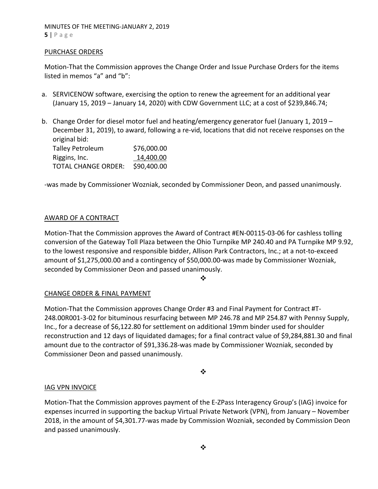# MINUTES OF THE MEETING‐JANUARY 2, 2019 **5** | Page

# PURCHASE ORDERS

Motion‐That the Commission approves the Change Order and Issue Purchase Orders for the items listed in memos "a" and "b":

- a. SERVICENOW software, exercising the option to renew the agreement for an additional year (January 15, 2019 – January 14, 2020) with CDW Government LLC; at a cost of \$239,846.74;
- b. Change Order for diesel motor fuel and heating/emergency generator fuel (January 1, 2019 December 31, 2019), to award, following a re-vid, locations that did not receive responses on the original bid: Talley Petroleum \$76,000.00

| Talley Petroleum           | <b>370,000.00</b> |
|----------------------------|-------------------|
| Riggins, Inc.              | 14,400.00         |
| <b>TOTAL CHANGE ORDER:</b> | \$90,400.00       |

‐was made by Commissioner Wozniak, seconded by Commissioner Deon, and passed unanimously.

#### AWARD OF A CONTRACT

Motion‐That the Commission approves the Award of Contract #EN‐00115‐03‐06 for cashless tolling conversion of the Gateway Toll Plaza between the Ohio Turnpike MP 240.40 and PA Turnpike MP 9.92, to the lowest responsive and responsible bidder, Allison Park Contractors, Inc.; at a not‐to‐exceed amount of \$1,275,000.00 and a contingency of \$50,000.00‐was made by Commissioner Wozniak, seconded by Commissioner Deon and passed unanimously.

❖

# CHANGE ORDER & FINAL PAYMENT

Motion‐That the Commission approves Change Order #3 and Final Payment for Contract #T‐ 248.00R001‐3‐02 for bituminous resurfacing between MP 246.78 and MP 254.87 with Pennsy Supply, Inc., for a decrease of \$6,122.80 for settlement on additional 19mm binder used for shoulder reconstruction and 12 days of liquidated damages; for a final contract value of \$9,284,881.30 and final amount due to the contractor of \$91,336.28‐was made by Commissioner Wozniak, seconded by Commissioner Deon and passed unanimously.

❖

# IAG VPN INVOICE

Motion‐That the Commission approves payment of the E‐ZPass Interagency Group's (IAG) invoice for expenses incurred in supporting the backup Virtual Private Network (VPN), from January – November 2018, in the amount of \$4,301.77‐was made by Commission Wozniak, seconded by Commission Deon and passed unanimously.